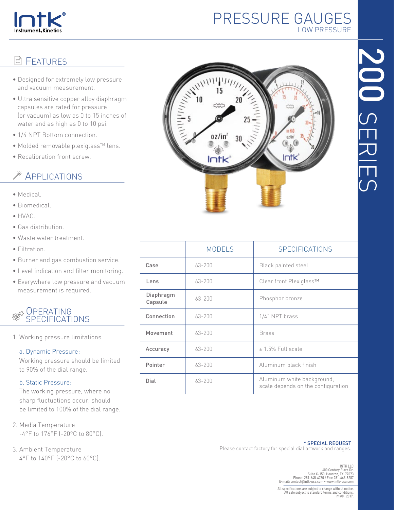

## PRESSURE GAUGES LOW PRESSURE

# **图 FEATURES**

- Designed for extremely low pressure and vacuum measurement.
- Ultra sensitive copper alloy diaphragm capsules are rated for pressure (or vacuum) as low as 0 to 15 inches of water and as high as 0 to 10 psi.
- 1/4 NPT Bottom connection.
- Molded removable plexiglass™ lens.
- Recalibration front screw.

## **EXAMPLICATIONS**

- Medical.
- Biomedical.
- HVAC.
- Gas distribution.
- Waste water treatment.
- Filtration.
- Burner and gas combustion service.
- Level indication and filter monitoring.
- Everywhere low pressure and vacuum measurement is required.

### **OPERATING** SPECIFICATIONS

1. Working pressure limitations

#### a. Dynamic Pressure:

 Working pressure should be limited to 90% of the dial range.

#### b. Static Pressure:

 The working pressure, where no sharp fluctuations occur, should be limited to 100% of the dial range.

- 2. Media Temperature -4°F to 176°F (-20°C to 80°C).
- 3. Ambient Temperature 4°F to 140°F (-20°C to 60°C).



|                      | <b>MODELS</b> | <b>SPECIFICATIONS</b>                                            |  |
|----------------------|---------------|------------------------------------------------------------------|--|
| Case                 | $63 - 200$    | <b>Black painted steel</b>                                       |  |
| Lens                 | $63 - 200$    | Clear front Plexiglass™                                          |  |
| Diaphragm<br>Capsule | $63 - 200$    | Phosphor bronze                                                  |  |
| Connection           | $63 - 200$    | $1/4$ " NPT brass                                                |  |
| Movement             | $63 - 200$    | <b>Brass</b>                                                     |  |
| Accuracy             | $63 - 200$    | $\pm$ 1.5% Full scale                                            |  |
| Pointer              | $63 - 200$    | Aluminum black finish                                            |  |
| Dial                 | $63 - 200$    | Aluminum white background,<br>scale depends on the configuration |  |

\* SPECIAL REQUEST Please contact factory for special dial artwork and ranges.

> INTK LLC 600 Century Plaza Dr. Suite C-150, Houston, TX 77073 Phone: 281-645-4730 / Fax: 281-645-8287 E-mail: contact@intk-usa.com • www.intk-usa.com

All specifications are subject to change without notice. All sale subject to standard terms and conditions. Intk® 2017.